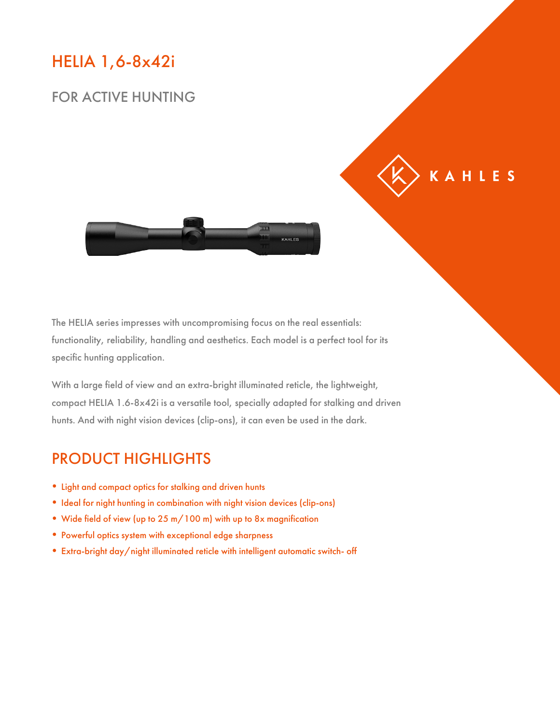#### HELIA 1,6-8x42i

#### FOR ACTIVE HUNTING



KAHLES

The HELIA series impresses with uncompromising focus on the real essentials: functionality, reliability, handling and aesthetics. Each model is a perfect tool for its specific hunting application.

With a large field of view and an extra-bright illuminated reticle, the lightweight, compact HELIA 1.6-8x42i is a versatile tool, specially adapted for stalking and driven hunts. And with night vision devices (clip-ons), it can even be used in the dark.

#### PRODUCT HIGHLIGHTS

- Light and compact optics for stalking and driven hunts
- Ideal for night hunting in combination with night vision devices (clip-ons)
- Wide field of view (up to 25 m/100 m) with up to 8x magnification
- Powerful optics system with exceptional edge sharpness
- Extra-bright day/night illuminated reticle with intelligent automatic switch- off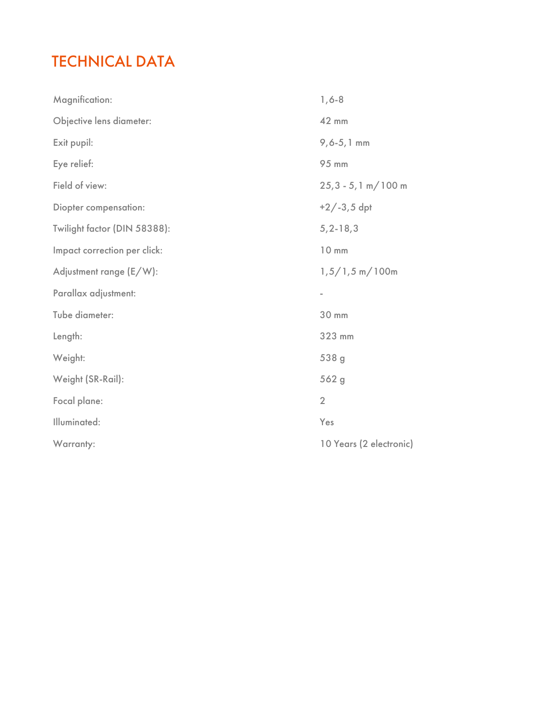## TECHNICAL DATA

| Magnification:               | $1, 6 - 8$              |
|------------------------------|-------------------------|
| Objective lens diameter:     | 42 mm                   |
| Exit pupil:                  | $9, 6 - 5, 1$ mm        |
| Eye relief:                  | 95 mm                   |
| Field of view:               | $25,3 - 5,1 m/100 m$    |
| Diopter compensation:        | $+2/-3,5$ dpt           |
| Twilight factor (DIN 58388): | $5, 2 - 18, 3$          |
| Impact correction per click: | 10 mm                   |
| Adjustment range (E/W):      | $1,5/1,5$ m/100m        |
| Parallax adjustment:         | ۰                       |
| Tube diameter:               | 30 mm                   |
| Length:                      | 323 mm                  |
| Weight:                      | 538 g                   |
| Weight (SR-Rail):            | 562 g                   |
| Focal plane:                 | $\overline{2}$          |
| Illuminated:                 | Yes                     |
| Warranty:                    | 10 Years (2 electronic) |